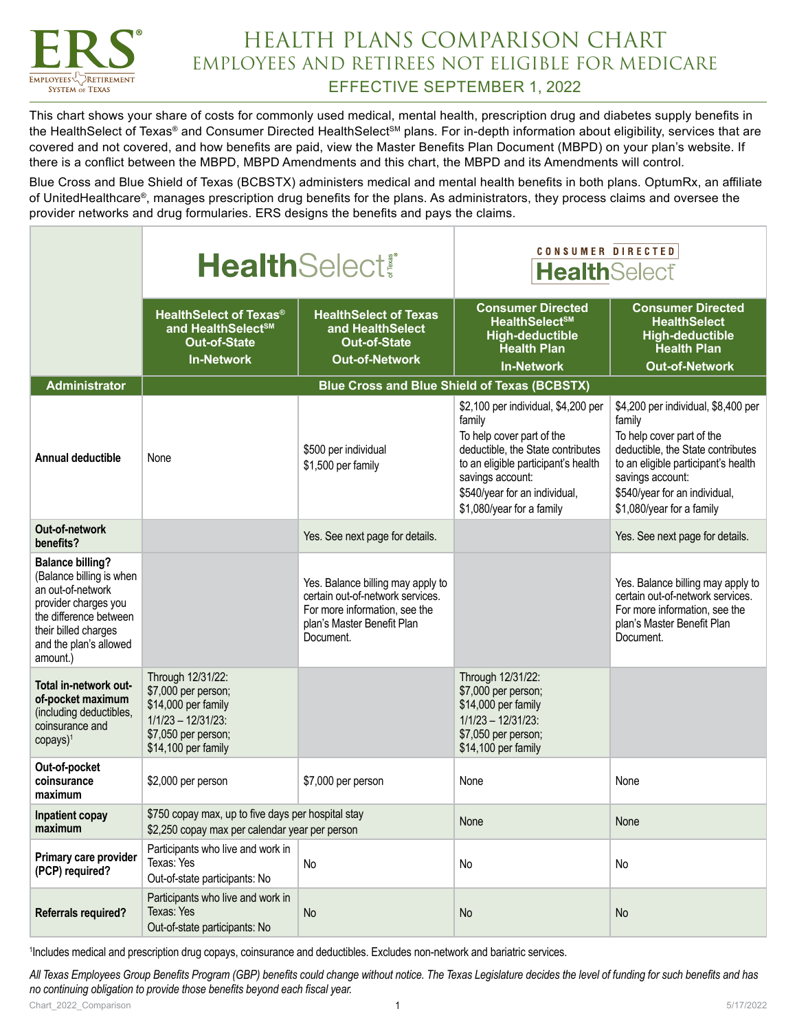

#### HEALTH PLANS COMPARISON CHART EMPLOYEES AND RETIREES NOT ELIGIBLE FOR MEDICARE EFFECTIVE SEPTEMBER 1, 2022

This chart shows your share of costs for commonly used medical, mental health, prescription drug and diabetes supply benefits in the HealthSelect of Texas® and Consumer Directed HealthSelect<sup>sM</sup> plans. For in-depth information about eligibility, services that are covered and not covered, and how benefits are paid, view the Master Benefits Plan Document (MBPD) on your plan's website. If there is a conflict between the MBPD, MBPD Amendments and this chart, the MBPD and its Amendments will control.

Blue Cross and Blue Shield of Texas (BCBSTX) administers medical and mental health benefits in both plans. OptumRx, an affiliate of UnitedHealthcare®, manages prescription drug benefits for the plans. As administrators, they process claims and oversee the provider networks and drug formularies. ERS designs the benefits and pays the claims.

|                                                                                                                                                                                          | <b>HealthSelect®</b>                                                                                                                   |                                                                                                                                                   | CONSUMER DIRECTED<br><b>HealthSelect®</b>                                                                                                                                                                                                |                                                                                                                                                                                                                                          |
|------------------------------------------------------------------------------------------------------------------------------------------------------------------------------------------|----------------------------------------------------------------------------------------------------------------------------------------|---------------------------------------------------------------------------------------------------------------------------------------------------|------------------------------------------------------------------------------------------------------------------------------------------------------------------------------------------------------------------------------------------|------------------------------------------------------------------------------------------------------------------------------------------------------------------------------------------------------------------------------------------|
|                                                                                                                                                                                          | <b>HealthSelect of Texas<sup>®</sup></b><br>and HealthSelect <sup>sM</sup><br><b>Out-of-State</b><br><b>In-Network</b>                 | <b>HealthSelect of Texas</b><br>and HealthSelect<br><b>Out-of-State</b><br><b>Out-of-Network</b>                                                  | <b>Consumer Directed</b><br>HealthSelect <sup>SM</sup><br><b>High-deductible</b><br><b>Health Plan</b><br><b>In-Network</b>                                                                                                              | <b>Consumer Directed</b><br><b>HealthSelect</b><br><b>High-deductible</b><br><b>Health Plan</b><br><b>Out-of-Network</b>                                                                                                                 |
| <b>Administrator</b>                                                                                                                                                                     |                                                                                                                                        |                                                                                                                                                   | <b>Blue Cross and Blue Shield of Texas (BCBSTX)</b>                                                                                                                                                                                      |                                                                                                                                                                                                                                          |
| <b>Annual deductible</b>                                                                                                                                                                 | None                                                                                                                                   | \$500 per individual<br>\$1,500 per family                                                                                                        | \$2,100 per individual, \$4,200 per<br>family<br>To help cover part of the<br>deductible, the State contributes<br>to an eligible participant's health<br>savings account:<br>\$540/year for an individual,<br>\$1,080/year for a family | \$4,200 per individual, \$8,400 per<br>family<br>To help cover part of the<br>deductible, the State contributes<br>to an eligible participant's health<br>savings account:<br>\$540/year for an individual,<br>\$1,080/year for a family |
| Out-of-network<br>benefits?                                                                                                                                                              |                                                                                                                                        | Yes. See next page for details.                                                                                                                   |                                                                                                                                                                                                                                          | Yes. See next page for details.                                                                                                                                                                                                          |
| <b>Balance billing?</b><br>(Balance billing is when<br>an out-of-network<br>provider charges you<br>the difference between<br>their billed charges<br>and the plan's allowed<br>amount.) |                                                                                                                                        | Yes. Balance billing may apply to<br>certain out-of-network services.<br>For more information, see the<br>plan's Master Benefit Plan<br>Document. |                                                                                                                                                                                                                                          | Yes. Balance billing may apply to<br>certain out-of-network services.<br>For more information, see the<br>plan's Master Benefit Plan<br>Document.                                                                                        |
| Total in-network out-<br>of-pocket maximum<br>(including deductibles,<br>coinsurance and<br>$copys)^1$                                                                                   | Through 12/31/22:<br>\$7,000 per person;<br>\$14,000 per family<br>$1/1/23 - 12/31/23$ :<br>\$7,050 per person;<br>\$14,100 per family |                                                                                                                                                   | Through 12/31/22:<br>\$7,000 per person;<br>\$14,000 per family<br>$1/1/23 - 12/31/23$ :<br>\$7,050 per person;<br>\$14,100 per family                                                                                                   |                                                                                                                                                                                                                                          |
| Out-of-pocket<br>coinsurance<br>maximum                                                                                                                                                  | \$2,000 per person                                                                                                                     | \$7,000 per person                                                                                                                                | None                                                                                                                                                                                                                                     | None                                                                                                                                                                                                                                     |
| Inpatient copay<br>maximum                                                                                                                                                               | \$750 copay max, up to five days per hospital stay<br>\$2,250 copay max per calendar year per person                                   |                                                                                                                                                   | None                                                                                                                                                                                                                                     | None                                                                                                                                                                                                                                     |
| Primary care provider<br>(PCP) required?                                                                                                                                                 | Participants who live and work in<br>Texas: Yes<br>Out-of-state participants: No                                                       | No                                                                                                                                                | No                                                                                                                                                                                                                                       | No                                                                                                                                                                                                                                       |
| <b>Referrals required?</b>                                                                                                                                                               | Participants who live and work in<br>Texas: Yes<br>Out-of-state participants: No                                                       | No                                                                                                                                                | <b>No</b>                                                                                                                                                                                                                                | No                                                                                                                                                                                                                                       |

1 Includes medical and prescription drug copays, coinsurance and deductibles. Excludes non-network and bariatric services.

*All Texas Employees Group Benefits Program (GBP) benefits could change without notice. The Texas Legislature decides the level of funding for such benefits and has no continuing obligation to provide those benefits beyond each fiscal year.*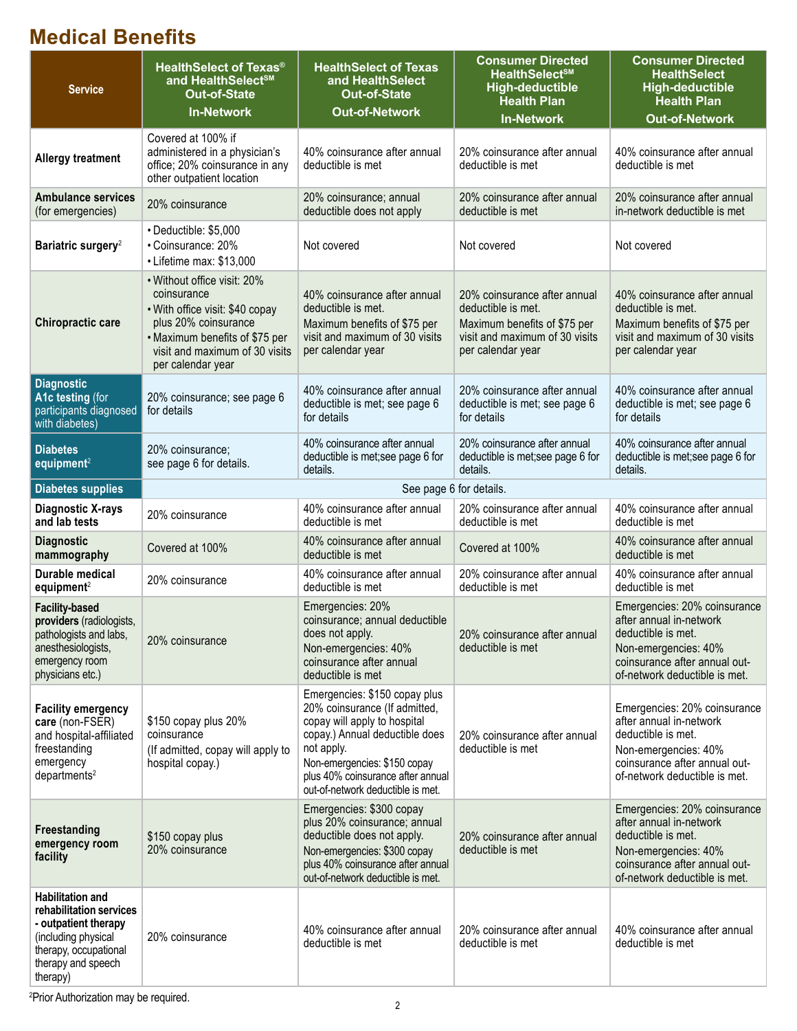# **Medical Benefits**

| <b>Service</b>                                                                                                                                               | <b>HealthSelect of Texas®</b><br>and HealthSelect <sup>sM</sup><br><b>Out-of-State</b><br><b>In-Network</b>                                                                                    | <b>HealthSelect of Texas</b><br>and HealthSelect<br><b>Out-of-State</b><br><b>Out-of-Network</b>                                                                                                                                                         | <b>Consumer Directed</b><br><b>HealthSelect<sup>SM</sup></b><br><b>High-deductible</b><br><b>Health Plan</b><br><b>In-Network</b>         | <b>Consumer Directed</b><br><b>HealthSelect</b><br><b>High-deductible</b><br><b>Health Plan</b><br><b>Out-of-Network</b>                                                |
|--------------------------------------------------------------------------------------------------------------------------------------------------------------|------------------------------------------------------------------------------------------------------------------------------------------------------------------------------------------------|----------------------------------------------------------------------------------------------------------------------------------------------------------------------------------------------------------------------------------------------------------|-------------------------------------------------------------------------------------------------------------------------------------------|-------------------------------------------------------------------------------------------------------------------------------------------------------------------------|
| <b>Allergy treatment</b>                                                                                                                                     | Covered at 100% if<br>administered in a physician's<br>office; 20% coinsurance in any<br>other outpatient location                                                                             | 40% coinsurance after annual<br>deductible is met                                                                                                                                                                                                        | 20% coinsurance after annual<br>deductible is met                                                                                         | 40% coinsurance after annual<br>deductible is met                                                                                                                       |
| <b>Ambulance services</b><br>(for emergencies)                                                                                                               | 20% coinsurance                                                                                                                                                                                | 20% coinsurance; annual<br>deductible does not apply                                                                                                                                                                                                     | 20% coinsurance after annual<br>deductible is met                                                                                         | 20% coinsurance after annual<br>in-network deductible is met                                                                                                            |
| Bariatric surgery <sup>2</sup>                                                                                                                               | • Deductible: \$5,000<br>• Coinsurance: 20%<br>• Lifetime max: \$13,000                                                                                                                        | Not covered                                                                                                                                                                                                                                              | Not covered                                                                                                                               | Not covered                                                                                                                                                             |
| Chiropractic care                                                                                                                                            | • Without office visit: 20%<br>coinsurance<br>• With office visit: \$40 copay<br>plus 20% coinsurance<br>• Maximum benefits of \$75 per<br>visit and maximum of 30 visits<br>per calendar year | 40% coinsurance after annual<br>deductible is met.<br>Maximum benefits of \$75 per<br>visit and maximum of 30 visits<br>per calendar year                                                                                                                | 20% coinsurance after annual<br>deductible is met.<br>Maximum benefits of \$75 per<br>visit and maximum of 30 visits<br>per calendar year | 40% coinsurance after annual<br>deductible is met.<br>Maximum benefits of \$75 per<br>visit and maximum of 30 visits<br>per calendar year                               |
| <b>Diagnostic</b><br>A1c testing (for<br>participants diagnosed<br>with diabetes)                                                                            | 20% coinsurance; see page 6<br>for details                                                                                                                                                     | 40% coinsurance after annual<br>deductible is met; see page 6<br>for details                                                                                                                                                                             | 20% coinsurance after annual<br>deductible is met; see page 6<br>for details                                                              | 40% coinsurance after annual<br>deductible is met; see page 6<br>for details                                                                                            |
| <b>Diabetes</b><br>equipment <sup>2</sup>                                                                                                                    | 20% coinsurance;<br>see page 6 for details.                                                                                                                                                    | 40% coinsurance after annual<br>deductible is met; see page 6 for<br>details.                                                                                                                                                                            | 20% coinsurance after annual<br>deductible is met;see page 6 for<br>details.                                                              | 40% coinsurance after annual<br>deductible is met;see page 6 for<br>details.                                                                                            |
| <b>Diabetes supplies</b>                                                                                                                                     |                                                                                                                                                                                                | See page 6 for details.                                                                                                                                                                                                                                  |                                                                                                                                           |                                                                                                                                                                         |
| Diagnostic X-rays<br>and lab tests                                                                                                                           | 20% coinsurance                                                                                                                                                                                | 40% coinsurance after annual<br>deductible is met                                                                                                                                                                                                        | 20% coinsurance after annual<br>deductible is met                                                                                         | 40% coinsurance after annual<br>deductible is met                                                                                                                       |
| <b>Diagnostic</b><br>mammography                                                                                                                             | Covered at 100%                                                                                                                                                                                | 40% coinsurance after annual<br>deductible is met                                                                                                                                                                                                        | Covered at 100%                                                                                                                           | 40% coinsurance after annual<br>deductible is met                                                                                                                       |
| Durable medical<br>equipment <sup>2</sup>                                                                                                                    | 20% coinsurance                                                                                                                                                                                | 40% coinsurance after annual<br>deductible is met                                                                                                                                                                                                        | 20% coinsurance after annual<br>deductible is met                                                                                         | 40% coinsurance after annual<br>deductible is met                                                                                                                       |
| <b>Facility-based</b><br>providers (radiologists,<br>pathologists and labs,<br>anesthesiologists,<br>emergency room<br>physicians etc.)                      | 20% coinsurance                                                                                                                                                                                | Emergencies: 20%<br>coinsurance; annual deductible<br>does not apply.<br>Non-emergencies: 40%<br>coinsurance after annual<br>deductible is met                                                                                                           | 20% coinsurance after annual<br>deductible is met                                                                                         | Emergencies: 20% coinsurance<br>after annual in-network<br>deductible is met.<br>Non-emergencies: 40%<br>coinsurance after annual out-<br>of-network deductible is met. |
| <b>Facility emergency</b><br>care (non-FSER)<br>and hospital-affiliated<br>freestanding<br>emergency<br>departments <sup>2</sup>                             | \$150 copay plus 20%<br>coinsurance<br>(If admitted, copay will apply to<br>hospital copay.)                                                                                                   | Emergencies: \$150 copay plus<br>20% coinsurance (If admitted,<br>copay will apply to hospital<br>copay.) Annual deductible does<br>not apply.<br>Non-emergencies: \$150 copay<br>plus 40% coinsurance after annual<br>out-of-network deductible is met. | 20% coinsurance after annual<br>deductible is met                                                                                         | Emergencies: 20% coinsurance<br>after annual in-network<br>deductible is met.<br>Non-emergencies: 40%<br>coinsurance after annual out-<br>of-network deductible is met. |
| <b>Freestanding</b><br>emergency room<br>facility                                                                                                            | \$150 copay plus<br>20% coinsurance                                                                                                                                                            | Emergencies: \$300 copay<br>plus 20% coinsurance; annual<br>deductible does not apply.<br>Non-emergencies: \$300 copay<br>plus 40% coinsurance after annual<br>out-of-network deductible is met.                                                         | 20% coinsurance after annual<br>deductible is met                                                                                         | Emergencies: 20% coinsurance<br>after annual in-network<br>deductible is met.<br>Non-emergencies: 40%<br>coinsurance after annual out-<br>of-network deductible is met. |
| <b>Habilitation and</b><br>rehabilitation services<br>- outpatient therapy<br>(including physical<br>therapy, occupational<br>therapy and speech<br>therapy) | 20% coinsurance                                                                                                                                                                                | 40% coinsurance after annual<br>deductible is met                                                                                                                                                                                                        | 20% coinsurance after annual<br>deductible is met                                                                                         | 40% coinsurance after annual<br>deductible is met                                                                                                                       |

2 Prior Authorization may be required.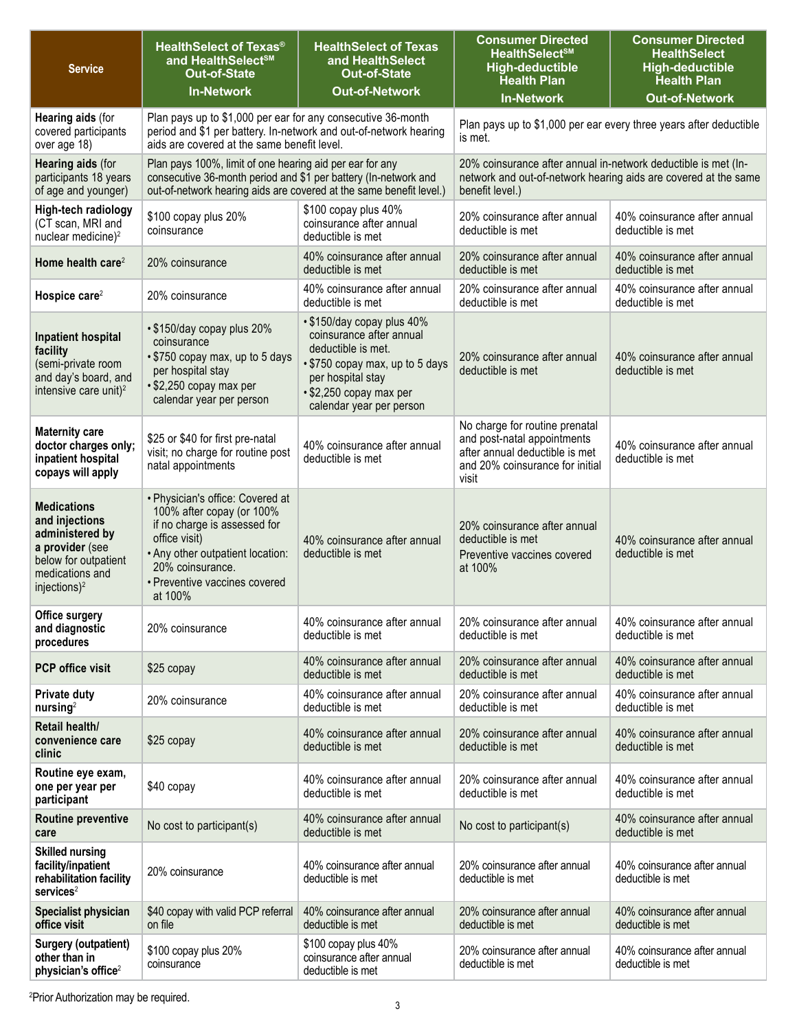| <b>Service</b>                                                                                                                                    | <b>HealthSelect of Texas®</b><br>and HealthSelect <sup>sM</sup><br><b>Out-of-State</b><br><b>In-Network</b>                                                                                                        | <b>HealthSelect of Texas</b><br>and HealthSelect<br><b>Out-of-State</b><br><b>Out-of-Network</b>                                                                                            | <b>Consumer Directed</b><br><b>HealthSelect<sup>SM</sup></b><br><b>High-deductible</b><br><b>Health Plan</b>                                         | <b>Consumer Directed</b><br><b>HealthSelect</b><br><b>High-deductible</b><br><b>Health Plan</b> |
|---------------------------------------------------------------------------------------------------------------------------------------------------|--------------------------------------------------------------------------------------------------------------------------------------------------------------------------------------------------------------------|---------------------------------------------------------------------------------------------------------------------------------------------------------------------------------------------|------------------------------------------------------------------------------------------------------------------------------------------------------|-------------------------------------------------------------------------------------------------|
|                                                                                                                                                   |                                                                                                                                                                                                                    |                                                                                                                                                                                             | <b>In-Network</b>                                                                                                                                    | <b>Out-of-Network</b>                                                                           |
| <b>Hearing aids (for</b><br>covered participants<br>over age 18)                                                                                  | Plan pays up to \$1,000 per ear for any consecutive 36-month<br>period and \$1 per battery. In-network and out-of-network hearing<br>aids are covered at the same benefit level.                                   |                                                                                                                                                                                             | Plan pays up to \$1,000 per ear every three years after deductible<br>is met.                                                                        |                                                                                                 |
| <b>Hearing aids (for</b><br>participants 18 years<br>of age and younger)                                                                          | Plan pays 100%, limit of one hearing aid per ear for any<br>consecutive 36-month period and \$1 per battery (In-network and<br>out-of-network hearing aids are covered at the same benefit level.)                 |                                                                                                                                                                                             | 20% coinsurance after annual in-network deductible is met (In-<br>network and out-of-network hearing aids are covered at the same<br>benefit level.) |                                                                                                 |
| High-tech radiology<br>(CT scan, MRI and<br>nuclear medicine) <sup>2</sup>                                                                        | \$100 copay plus 20%<br>coinsurance                                                                                                                                                                                | \$100 copay plus 40%<br>coinsurance after annual<br>deductible is met                                                                                                                       | 20% coinsurance after annual<br>deductible is met                                                                                                    | 40% coinsurance after annual<br>deductible is met                                               |
| Home health care <sup>2</sup>                                                                                                                     | 20% coinsurance                                                                                                                                                                                                    | 40% coinsurance after annual<br>deductible is met                                                                                                                                           | 20% coinsurance after annual<br>deductible is met                                                                                                    | 40% coinsurance after annual<br>deductible is met                                               |
| Hospice care <sup>2</sup>                                                                                                                         | 20% coinsurance                                                                                                                                                                                                    | 40% coinsurance after annual<br>deductible is met                                                                                                                                           | 20% coinsurance after annual<br>deductible is met                                                                                                    | 40% coinsurance after annual<br>deductible is met                                               |
| Inpatient hospital<br>facility<br>(semi-private room<br>and day's board, and<br>intensive care unit) <sup>2</sup>                                 | • \$150/day copay plus 20%<br>coinsurance<br>• \$750 copay max, up to 5 days<br>per hospital stay<br>• \$2,250 copay max per<br>calendar year per person                                                           | • \$150/day copay plus 40%<br>coinsurance after annual<br>deductible is met.<br>• \$750 copay max, up to 5 days<br>per hospital stay<br>• \$2,250 copay max per<br>calendar year per person | 20% coinsurance after annual<br>deductible is met                                                                                                    | 40% coinsurance after annual<br>deductible is met                                               |
| <b>Maternity care</b><br>doctor charges only;<br>inpatient hospital<br>copays will apply                                                          | \$25 or \$40 for first pre-natal<br>visit; no charge for routine post<br>natal appointments                                                                                                                        | 40% coinsurance after annual<br>deductible is met                                                                                                                                           | No charge for routine prenatal<br>and post-natal appointments<br>after annual deductible is met<br>and 20% coinsurance for initial<br>visit          | 40% coinsurance after annual<br>deductible is met                                               |
| <b>Medications</b><br>and injections<br>administered by<br>a provider (see<br>below for outpatient<br>medications and<br>injections) <sup>2</sup> | • Physician's office: Covered at<br>100% after copay (or 100%<br>if no charge is assessed for<br>office visit)<br>. Any other outpatient location:<br>20% coinsurance.<br>• Preventive vaccines covered<br>at 100% | 40% coinsurance after annual<br>deductible is met                                                                                                                                           | 20% coinsurance after annual<br>deductible is met<br>Preventive vaccines covered<br>at 100%                                                          | 40% coinsurance after annual<br>deductible is met                                               |
| Office surgery<br>and diagnostic<br>procedures                                                                                                    | 20% coinsurance                                                                                                                                                                                                    | 40% coinsurance after annual<br>deductible is met                                                                                                                                           | 20% coinsurance after annual<br>deductible is met                                                                                                    | 40% coinsurance after annual<br>deductible is met                                               |
| <b>PCP office visit</b>                                                                                                                           | \$25 copay                                                                                                                                                                                                         | 40% coinsurance after annual<br>deductible is met                                                                                                                                           | 20% coinsurance after annual<br>deductible is met                                                                                                    | 40% coinsurance after annual<br>deductible is met                                               |
| <b>Private duty</b><br>nursing <sup>2</sup>                                                                                                       | 20% coinsurance                                                                                                                                                                                                    | 40% coinsurance after annual<br>deductible is met                                                                                                                                           | 20% coinsurance after annual<br>deductible is met                                                                                                    | 40% coinsurance after annual<br>deductible is met                                               |
| Retail health/<br>convenience care<br>clinic                                                                                                      | \$25 copay                                                                                                                                                                                                         | 40% coinsurance after annual<br>deductible is met                                                                                                                                           | 20% coinsurance after annual<br>deductible is met                                                                                                    | 40% coinsurance after annual<br>deductible is met                                               |
| Routine eye exam,<br>one per year per<br>participant                                                                                              | \$40 copay                                                                                                                                                                                                         | 40% coinsurance after annual<br>deductible is met                                                                                                                                           | 20% coinsurance after annual<br>deductible is met                                                                                                    | 40% coinsurance after annual<br>deductible is met                                               |
| <b>Routine preventive</b><br>care                                                                                                                 | No cost to participant(s)                                                                                                                                                                                          | 40% coinsurance after annual<br>deductible is met                                                                                                                                           | No cost to participant(s)                                                                                                                            | 40% coinsurance after annual<br>deductible is met                                               |
| <b>Skilled nursing</b><br>facility/inpatient<br>rehabilitation facility<br>$s$ ervices $2$                                                        | 20% coinsurance                                                                                                                                                                                                    | 40% coinsurance after annual<br>deductible is met                                                                                                                                           | 20% coinsurance after annual<br>deductible is met                                                                                                    | 40% coinsurance after annual<br>deductible is met                                               |
| <b>Specialist physician</b><br>office visit                                                                                                       | \$40 copay with valid PCP referral<br>on file                                                                                                                                                                      | 40% coinsurance after annual<br>deductible is met                                                                                                                                           | 20% coinsurance after annual<br>deductible is met                                                                                                    | 40% coinsurance after annual<br>deductible is met                                               |
| <b>Surgery (outpatient)</b><br>other than in<br>physician's office <sup>2</sup>                                                                   | \$100 copay plus 20%<br>coinsurance                                                                                                                                                                                | \$100 copay plus 40%<br>coinsurance after annual<br>deductible is met                                                                                                                       | 20% coinsurance after annual<br>deductible is met                                                                                                    | 40% coinsurance after annual<br>deductible is met                                               |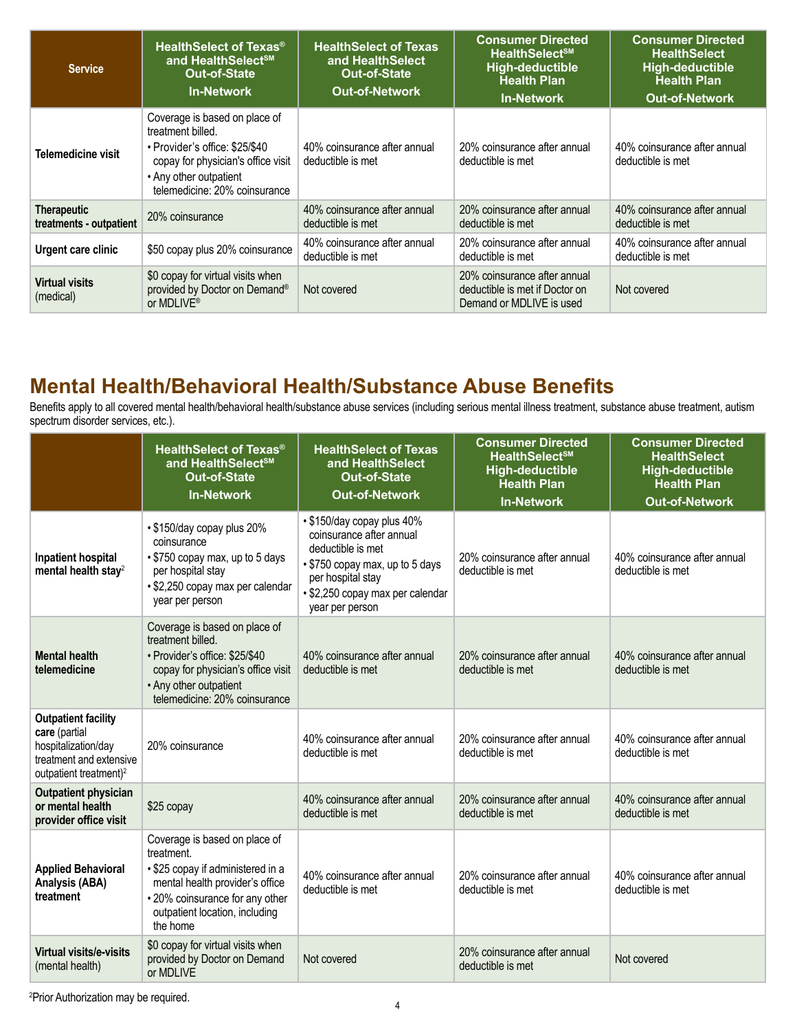| <b>Service</b>                                | <b>HealthSelect of Texas<sup>®</sup></b><br>and HealthSelect <sup>sM</sup><br><b>Out-of-State</b><br><b>In-Network</b>                                                                | <b>HealthSelect of Texas</b><br>and HealthSelect<br><b>Out-of-State</b><br><b>Out-of-Network</b> | <b>Consumer Directed</b><br>HealthSelect <sup>SM</sup><br><b>High-deductible</b><br><b>Health Plan</b><br><b>In-Network</b> | <b>Consumer Directed</b><br><b>HealthSelect</b><br>High-deductible<br><b>Health Plan</b><br><b>Out-of-Network</b> |
|-----------------------------------------------|---------------------------------------------------------------------------------------------------------------------------------------------------------------------------------------|--------------------------------------------------------------------------------------------------|-----------------------------------------------------------------------------------------------------------------------------|-------------------------------------------------------------------------------------------------------------------|
| Telemedicine visit                            | Coverage is based on place of<br>treatment billed.<br>• Provider's office: \$25/\$40<br>copay for physician's office visit<br>• Any other outpatient<br>telemedicine: 20% coinsurance | 40% coinsurance after annual<br>deductible is met                                                | 20% coinsurance after annual<br>deductible is met                                                                           | 40% coinsurance after annual<br>deductible is met                                                                 |
| <b>Therapeutic</b><br>treatments - outpatient | 20% coinsurance                                                                                                                                                                       | 40% coinsurance after annual<br>deductible is met                                                | 20% coinsurance after annual<br>deductible is met                                                                           | 40% coinsurance after annual<br>deductible is met                                                                 |
| Urgent care clinic                            | \$50 copay plus 20% coinsurance                                                                                                                                                       | 40% coinsurance after annual<br>deductible is met                                                | 20% coinsurance after annual<br>deductible is met                                                                           | 40% coinsurance after annual<br>deductible is met                                                                 |
| <b>Virtual visits</b><br>(medical)            | \$0 copay for virtual visits when<br>provided by Doctor on Demand®<br>or MDLIVE <sup>®</sup>                                                                                          | Not covered                                                                                      | 20% coinsurance after annual<br>deductible is met if Doctor on<br>Demand or MDLIVE is used                                  | Not covered                                                                                                       |

### **Mental Health/Behavioral Health/Substance Abuse Benefits**

Benefits apply to all covered mental health/behavioral health/substance abuse services (including serious mental illness treatment, substance abuse treatment, autism spectrum disorder services, etc.).

|                                                                                                                                     | <b>HealthSelect of Texas<sup>®</sup></b><br>and HealthSelect <sup>sM</sup><br><b>Out-of-State</b><br><b>In-Network</b>                                                                               | <b>HealthSelect of Texas</b><br>and HealthSelect<br><b>Out-of-State</b><br><b>Out-of-Network</b>                                                                                           | <b>Consumer Directed</b><br><b>HealthSelect<sup>SM</sup></b><br>High-deductible<br><b>Health Plan</b><br><b>In-Network</b> | <b>Consumer Directed</b><br><b>HealthSelect</b><br><b>High-deductible</b><br><b>Health Plan</b><br><b>Out-of-Network</b> |
|-------------------------------------------------------------------------------------------------------------------------------------|------------------------------------------------------------------------------------------------------------------------------------------------------------------------------------------------------|--------------------------------------------------------------------------------------------------------------------------------------------------------------------------------------------|----------------------------------------------------------------------------------------------------------------------------|--------------------------------------------------------------------------------------------------------------------------|
| Inpatient hospital<br>mental health stay <sup>2</sup>                                                                               | • \$150/day copay plus 20%<br>coinsurance<br>• \$750 copay max, up to 5 days<br>per hospital stay<br>• \$2,250 copay max per calendar<br>year per person                                             | • \$150/day copay plus 40%<br>coinsurance after annual<br>deductible is met<br>• \$750 copay max, up to 5 days<br>per hospital stay<br>• \$2,250 copay max per calendar<br>year per person | 20% coinsurance after annual<br>deductible is met                                                                          | 40% coinsurance after annual<br>deductible is met                                                                        |
| <b>Mental health</b><br>telemedicine                                                                                                | Coverage is based on place of<br>treatment billed.<br>• Provider's office: \$25/\$40<br>copay for physician's office visit<br>• Any other outpatient<br>telemedicine: 20% coinsurance                | 40% coinsurance after annual<br>deductible is met                                                                                                                                          | 20% coinsurance after annual<br>deductible is met                                                                          | 40% coinsurance after annual<br>deductible is met                                                                        |
| <b>Outpatient facility</b><br>care (partial<br>hospitalization/day<br>treatment and extensive<br>outpatient treatment) <sup>2</sup> | 20% coinsurance                                                                                                                                                                                      | 40% coinsurance after annual<br>deductible is met                                                                                                                                          | 20% coinsurance after annual<br>deductible is met                                                                          | 40% coinsurance after annual<br>deductible is met                                                                        |
| <b>Outpatient physician</b><br>or mental health<br>provider office visit                                                            | \$25 copay                                                                                                                                                                                           | 40% coinsurance after annual<br>deductible is met                                                                                                                                          | 20% coinsurance after annual<br>deductible is met                                                                          | 40% coinsurance after annual<br>deductible is met                                                                        |
| <b>Applied Behavioral</b><br>Analysis (ABA)<br>treatment                                                                            | Coverage is based on place of<br>treatment.<br>• \$25 copay if administered in a<br>mental health provider's office<br>• 20% coinsurance for any other<br>outpatient location, including<br>the home | 40% coinsurance after annual<br>deductible is met                                                                                                                                          | 20% coinsurance after annual<br>deductible is met                                                                          | 40% coinsurance after annual<br>deductible is met                                                                        |
| Virtual visits/e-visits<br>(mental health)                                                                                          | \$0 copay for virtual visits when<br>provided by Doctor on Demand<br>or MDLIVE                                                                                                                       | Not covered                                                                                                                                                                                | 20% coinsurance after annual<br>deductible is met                                                                          | Not covered                                                                                                              |

2 Prior Authorization may be required.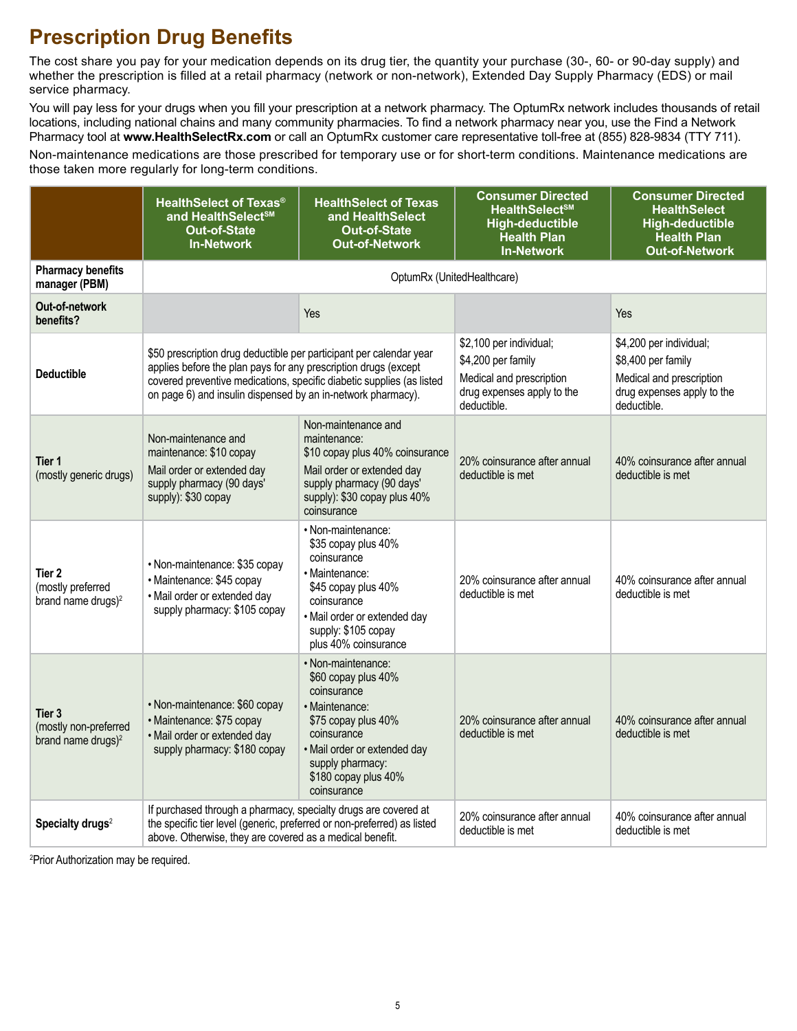# **Prescription Drug Benefits**

The cost share you pay for your medication depends on its drug tier, the quantity your purchase (30-, 60- or 90-day supply) and whether the prescription is filled at a retail pharmacy (network or non-network), Extended Day Supply Pharmacy (EDS) or mail service pharmacy.

You will pay less for your drugs when you fill your prescription at a network pharmacy. The OptumRx network includes thousands of retail locations, including national chains and many community pharmacies. To find a network pharmacy near you, use the Find a Network Pharmacy tool at **[www.HealthSelectRx.com](http://www.HealthSelectRx.com)** or call an OptumRx customer care representative toll-free at (855) 828-9834 (TTY 711).

Non-maintenance medications are those prescribed for temporary use or for short-term conditions. Maintenance medications are those taken more regularly for long-term conditions.

|                                                                   | <b>HealthSelect of Texas®</b><br>and HealthSelect <sup>sM</sup><br><b>Out-of-State</b><br><b>In-Network</b>                                                                                                                                                                     | <b>HealthSelect of Texas</b><br>and HealthSelect<br><b>Out-of-State</b><br><b>Out-of-Network</b>                                                                                                            | <b>Consumer Directed</b><br><b>HealthSelect<sup>SM</sup></b><br><b>High-deductible</b><br><b>Health Plan</b><br><b>In-Network</b> | <b>Consumer Directed</b><br><b>HealthSelect</b><br><b>High-deductible</b><br><b>Health Plan</b><br><b>Out-of-Network</b> |
|-------------------------------------------------------------------|---------------------------------------------------------------------------------------------------------------------------------------------------------------------------------------------------------------------------------------------------------------------------------|-------------------------------------------------------------------------------------------------------------------------------------------------------------------------------------------------------------|-----------------------------------------------------------------------------------------------------------------------------------|--------------------------------------------------------------------------------------------------------------------------|
| <b>Pharmacy benefits</b><br>manager (PBM)                         | OptumRx (UnitedHealthcare)                                                                                                                                                                                                                                                      |                                                                                                                                                                                                             |                                                                                                                                   |                                                                                                                          |
| Out-of-network<br>benefits?                                       |                                                                                                                                                                                                                                                                                 | Yes                                                                                                                                                                                                         |                                                                                                                                   | Yes                                                                                                                      |
| <b>Deductible</b>                                                 | \$50 prescription drug deductible per participant per calendar year<br>applies before the plan pays for any prescription drugs (except<br>covered preventive medications, specific diabetic supplies (as listed<br>on page 6) and insulin dispensed by an in-network pharmacy). |                                                                                                                                                                                                             | \$2,100 per individual;<br>\$4,200 per family<br>Medical and prescription<br>drug expenses apply to the<br>deductible.            | \$4,200 per individual;<br>\$8,400 per family<br>Medical and prescription<br>drug expenses apply to the<br>deductible.   |
| Tier 1<br>(mostly generic drugs)                                  | Non-maintenance and<br>maintenance: \$10 copay<br>Mail order or extended day<br>supply pharmacy (90 days'<br>supply): \$30 copay                                                                                                                                                | Non-maintenance and<br>maintenance:<br>\$10 copay plus 40% coinsurance<br>Mail order or extended day<br>supply pharmacy (90 days'<br>supply): \$30 copay plus 40%<br>coinsurance                            | 20% coinsurance after annual<br>deductible is met                                                                                 | 40% coinsurance after annual<br>deductible is met                                                                        |
| Tier 2<br>(mostly preferred<br>brand name drugs) <sup>2</sup>     | • Non-maintenance: \$35 copay<br>· Maintenance: \$45 copay<br>• Mail order or extended day<br>supply pharmacy: \$105 copay                                                                                                                                                      | • Non-maintenance:<br>\$35 copay plus 40%<br>coinsurance<br>· Maintenance:<br>\$45 copay plus 40%<br>coinsurance<br>· Mail order or extended day<br>supply: \$105 copay<br>plus 40% coinsurance             | 20% coinsurance after annual<br>deductible is met                                                                                 | 40% coinsurance after annual<br>deductible is met                                                                        |
| Tier 3<br>(mostly non-preferred<br>brand name drugs) <sup>2</sup> | • Non-maintenance: \$60 copay<br>• Maintenance: \$75 copay<br>• Mail order or extended day<br>supply pharmacy: \$180 copay                                                                                                                                                      | · Non-maintenance:<br>\$60 copay plus 40%<br>coinsurance<br>· Maintenance:<br>\$75 copay plus 40%<br>coinsurance<br>· Mail order or extended day<br>supply pharmacy:<br>\$180 copay plus 40%<br>coinsurance | 20% coinsurance after annual<br>deductible is met                                                                                 | 40% coinsurance after annual<br>deductible is met                                                                        |
| Specialty drugs <sup>2</sup>                                      | If purchased through a pharmacy, specialty drugs are covered at<br>the specific tier level (generic, preferred or non-preferred) as listed<br>above. Otherwise, they are covered as a medical benefit.                                                                          |                                                                                                                                                                                                             | 20% coinsurance after annual<br>deductible is met                                                                                 | 40% coinsurance after annual<br>deductible is met                                                                        |

2 Prior Authorization may be required.